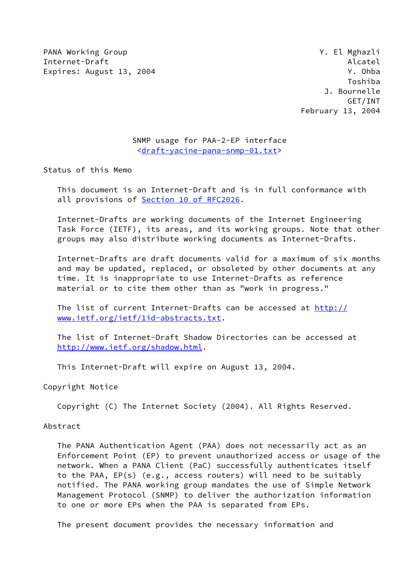PANA Working Group **Y. El Mghazli** Internet-Draft Alcatel Expires: August 13, 2004 Contract Contract Contract Contract Contract Contract Contract Contract Contract Contract Contract Contract Contract Contract Contract Contract Contract Contract Contract Contract Contract Contract

 Toshiba J. Bournelle GET/INT February 13, 2004

## SNMP usage for PAA-2-EP interface [<draft-yacine-pana-snmp-01.txt>](https://datatracker.ietf.org/doc/pdf/draft-yacine-pana-snmp-01.txt)

Status of this Memo

 This document is an Internet-Draft and is in full conformance with all provisions of Section [10 of RFC2026.](https://datatracker.ietf.org/doc/pdf/rfc2026#section-10)

 Internet-Drafts are working documents of the Internet Engineering Task Force (IETF), its areas, and its working groups. Note that other groups may also distribute working documents as Internet-Drafts.

 Internet-Drafts are draft documents valid for a maximum of six months and may be updated, replaced, or obsoleted by other documents at any time. It is inappropriate to use Internet-Drafts as reference material or to cite them other than as "work in progress."

The list of current Internet-Drafts can be accessed at [http://](http://www.ietf.org/ietf/1id-abstracts.txt) [www.ietf.org/ietf/1id-abstracts.txt](http://www.ietf.org/ietf/1id-abstracts.txt).

 The list of Internet-Draft Shadow Directories can be accessed at <http://www.ietf.org/shadow.html>.

This Internet-Draft will expire on August 13, 2004.

## Copyright Notice

Copyright (C) The Internet Society (2004). All Rights Reserved.

## Abstract

 The PANA Authentication Agent (PAA) does not necessarily act as an Enforcement Point (EP) to prevent unauthorized access or usage of the network. When a PANA Client (PaC) successfully authenticates itself to the PAA, EP(s) (e.g., access routers) will need to be suitably notified. The PANA working group mandates the use of Simple Network Management Protocol (SNMP) to deliver the authorization information to one or more EPs when the PAA is separated from EPs.

The present document provides the necessary information and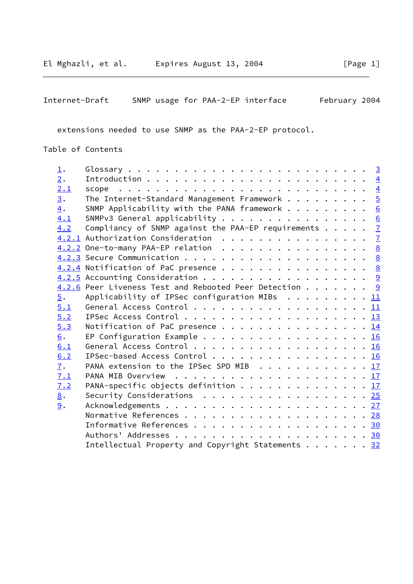Internet-Draft SNMP usage for PAA-2-EP interface February 2004

extensions needed to use SNMP as the PAA-2-EP protocol.

# Table of Contents

| $\perp$ .         |                                                                               |  |  |  |  |
|-------------------|-------------------------------------------------------------------------------|--|--|--|--|
| 2.                |                                                                               |  |  |  |  |
| 2.1               | scope                                                                         |  |  |  |  |
| $\underline{3}$ . | The Internet-Standard Management Framework $5$                                |  |  |  |  |
| 4.                | SNMP Applicability with the PANA framework $6$                                |  |  |  |  |
| 4.1               | SNMPv3 General applicability 6                                                |  |  |  |  |
| 4.2               | Compliancy of SNMP against the PAA-EP requirements $\frac{7}{2}$              |  |  |  |  |
|                   | 4.2.1 Authorization Consideration 7                                           |  |  |  |  |
|                   | 4.2.2 One-to-many PAA-EP relation 8                                           |  |  |  |  |
|                   |                                                                               |  |  |  |  |
|                   | $4.2.4$ Notification of PaC presence 8                                        |  |  |  |  |
|                   | 4.2.5 Accounting Consideration 9                                              |  |  |  |  |
|                   | 4.2.6 Peer Liveness Test and Rebooted Peer Detection 9                        |  |  |  |  |
| $\overline{5}$ .  | Applicability of IPSec configuration MIBs $\ldots \ldots \ldots \frac{11}{2}$ |  |  |  |  |
| 5.1               |                                                                               |  |  |  |  |
| 5.2               |                                                                               |  |  |  |  |
| 5.3               | Notification of PaC presence 14                                               |  |  |  |  |
| 6.                | EP Configuration Example 16                                                   |  |  |  |  |
| 6.1               |                                                                               |  |  |  |  |
| 6.2               | IPSec-based Access Control 16                                                 |  |  |  |  |
| 7.                | PANA extension to the IPSec SPD MIB $\cdots$ 17                               |  |  |  |  |
| 7.1               |                                                                               |  |  |  |  |
| 7.2               | PANA-specific objects definition 17                                           |  |  |  |  |
| 8.                | Security Considerations 25                                                    |  |  |  |  |
| 9.                |                                                                               |  |  |  |  |
|                   |                                                                               |  |  |  |  |
|                   |                                                                               |  |  |  |  |
|                   |                                                                               |  |  |  |  |
|                   | Intellectual Property and Copyright Statements 32                             |  |  |  |  |
|                   |                                                                               |  |  |  |  |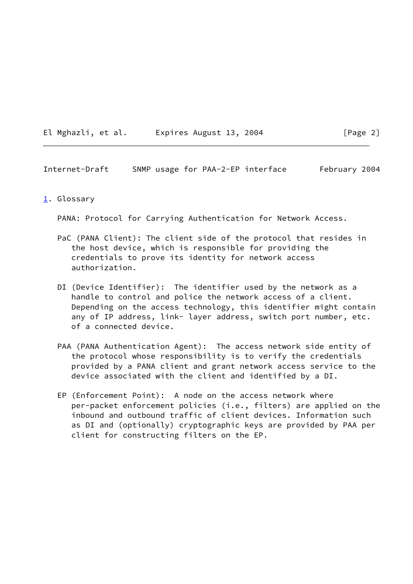| El Mghazli, et al. | Expires August 13, 2004 |  |  |
|--------------------|-------------------------|--|--|
|                    |                         |  |  |

<span id="page-2-1"></span>Internet-Draft SNMP usage for PAA-2-EP interface February 2004

## <span id="page-2-0"></span>[1](#page-2-0). Glossary

PANA: Protocol for Carrying Authentication for Network Access.

- PaC (PANA Client): The client side of the protocol that resides in the host device, which is responsible for providing the credentials to prove its identity for network access authorization.
- DI (Device Identifier): The identifier used by the network as a handle to control and police the network access of a client. Depending on the access technology, this identifier might contain any of IP address, link- layer address, switch port number, etc. of a connected device.
- PAA (PANA Authentication Agent): The access network side entity of the protocol whose responsibility is to verify the credentials provided by a PANA client and grant network access service to the device associated with the client and identified by a DI.
- EP (Enforcement Point): A node on the access network where per-packet enforcement policies (i.e., filters) are applied on the inbound and outbound traffic of client devices. Information such as DI and (optionally) cryptographic keys are provided by PAA per client for constructing filters on the EP.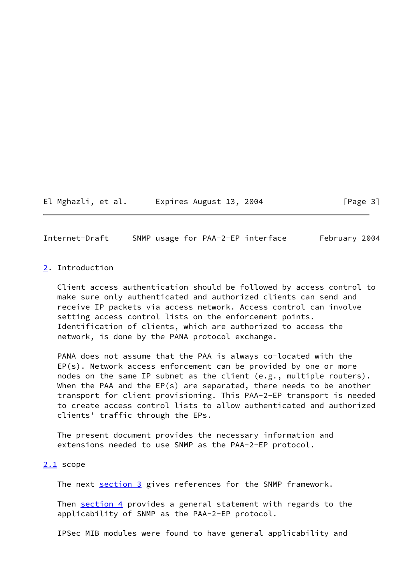## El Mghazli, et al. Expires August 13, 2004 [Page 3]

<span id="page-3-1"></span>Internet-Draft SNMP usage for PAA-2-EP interface February 2004

## <span id="page-3-0"></span>[2](#page-3-0). Introduction

 Client access authentication should be followed by access control to make sure only authenticated and authorized clients can send and receive IP packets via access network. Access control can involve setting access control lists on the enforcement points. Identification of clients, which are authorized to access the network, is done by the PANA protocol exchange.

 PANA does not assume that the PAA is always co-located with the EP(s). Network access enforcement can be provided by one or more nodes on the same IP subnet as the client (e.g., multiple routers). When the PAA and the EP(s) are separated, there needs to be another transport for client provisioning. This PAA-2-EP transport is needed to create access control lists to allow authenticated and authorized clients' traffic through the EPs.

 The present document provides the necessary information and extensions needed to use SNMP as the PAA-2-EP protocol.

#### <span id="page-3-2"></span>[2.1](#page-3-2) scope

The next [section 3](#page-4-0) gives references for the SNMP framework.

Then [section 4](#page-5-0) provides a general statement with regards to the applicability of SNMP as the PAA-2-EP protocol.

IPSec MIB modules were found to have general applicability and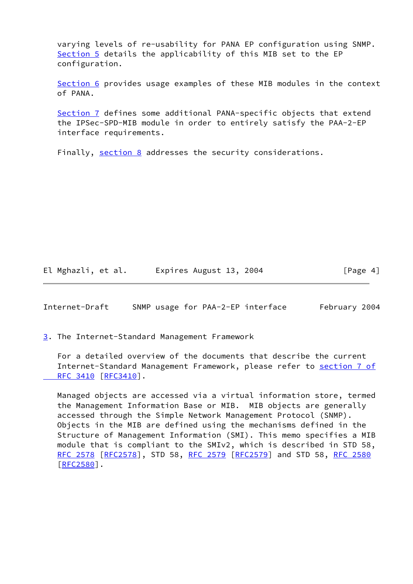varying levels of re-usability for PANA EP configuration using SNMP. [Section 5](#page-11-0) details the applicability of this MIB set to the EP configuration.

 [Section 6](#page-17-0) provides usage examples of these MIB modules in the context of PANA.

[Section 7](#page-18-0) defines some additional PANA-specific objects that extend the IPSec-SPD-MIB module in order to entirely satisfy the PAA-2-EP interface requirements.

Finally, [section 8](#page-27-0) addresses the security considerations.

El Mghazli, et al. Expires August 13, 2004 [Page 4]

<span id="page-4-1"></span>Internet-Draft SNMP usage for PAA-2-EP interface February 2004

<span id="page-4-0"></span>[3](#page-4-0). The Internet-Standard Management Framework

 For a detailed overview of the documents that describe the current Internet-Standard Management Framework, please refer to [section](https://datatracker.ietf.org/doc/pdf/rfc3410#section-7) 7 of RFC 3410 [\[RFC3410](https://datatracker.ietf.org/doc/pdf/rfc3410)].

 Managed objects are accessed via a virtual information store, termed the Management Information Base or MIB. MIB objects are generally accessed through the Simple Network Management Protocol (SNMP). Objects in the MIB are defined using the mechanisms defined in the Structure of Management Information (SMI). This memo specifies a MIB module that is compliant to the SMIv2, which is described in STD 58, [RFC 2578](https://datatracker.ietf.org/doc/pdf/rfc2578) [\[RFC2578](https://datatracker.ietf.org/doc/pdf/rfc2578)], STD 58, [RFC 2579 \[RFC2579](https://datatracker.ietf.org/doc/pdf/rfc2579)] and STD 58, [RFC 2580](https://datatracker.ietf.org/doc/pdf/rfc2580)  $[REC2580]$ .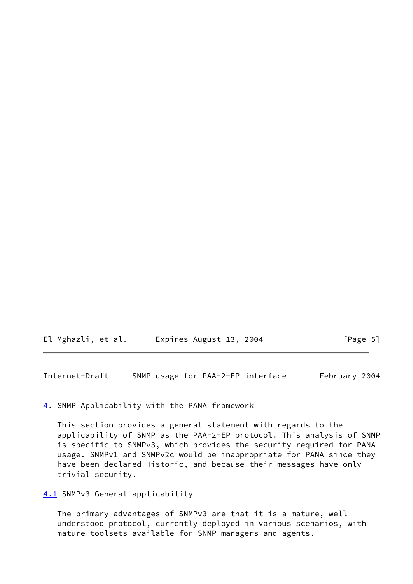El Mghazli, et al. Expires August 13, 2004 [Page 5]

<span id="page-5-1"></span>Internet-Draft SNMP usage for PAA-2-EP interface February 2004

<span id="page-5-0"></span>[4](#page-5-0). SNMP Applicability with the PANA framework

 This section provides a general statement with regards to the applicability of SNMP as the PAA-2-EP protocol. This analysis of SNMP is specific to SNMPv3, which provides the security required for PANA usage. SNMPv1 and SNMPv2c would be inappropriate for PANA since they have been declared Historic, and because their messages have only trivial security.

<span id="page-5-2"></span>[4.1](#page-5-2) SNMPv3 General applicability

 The primary advantages of SNMPv3 are that it is a mature, well understood protocol, currently deployed in various scenarios, with mature toolsets available for SNMP managers and agents.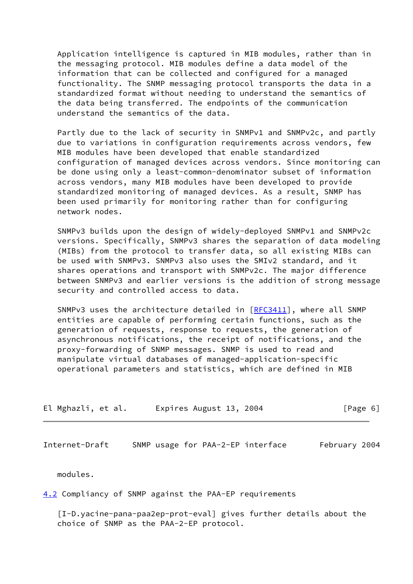Application intelligence is captured in MIB modules, rather than in the messaging protocol. MIB modules define a data model of the information that can be collected and configured for a managed functionality. The SNMP messaging protocol transports the data in a standardized format without needing to understand the semantics of the data being transferred. The endpoints of the communication understand the semantics of the data.

Partly due to the lack of security in SNMPv1 and SNMPv2c, and partly due to variations in configuration requirements across vendors, few MIB modules have been developed that enable standardized configuration of managed devices across vendors. Since monitoring can be done using only a least-common-denominator subset of information across vendors, many MIB modules have been developed to provide standardized monitoring of managed devices. As a result, SNMP has been used primarily for monitoring rather than for configuring network nodes.

 SNMPv3 builds upon the design of widely-deployed SNMPv1 and SNMPv2c versions. Specifically, SNMPv3 shares the separation of data modeling (MIBs) from the protocol to transfer data, so all existing MIBs can be used with SNMPv3. SNMPv3 also uses the SMIv2 standard, and it shares operations and transport with SNMPv2c. The major difference between SNMPv3 and earlier versions is the addition of strong message security and controlled access to data.

SNMPv3 uses the architecture detailed in [\[RFC3411](https://datatracker.ietf.org/doc/pdf/rfc3411)], where all SNMP entities are capable of performing certain functions, such as the generation of requests, response to requests, the generation of asynchronous notifications, the receipt of notifications, and the proxy-forwarding of SNMP messages. SNMP is used to read and manipulate virtual databases of managed-application-specific operational parameters and statistics, which are defined in MIB

| El Mghazli, et al. | Expires August 13, 2004 | [Page 6] |
|--------------------|-------------------------|----------|
|--------------------|-------------------------|----------|

<span id="page-6-1"></span>Internet-Draft SNMP usage for PAA-2-EP interface February 2004

modules.

<span id="page-6-0"></span>[4.2](#page-6-0) Compliancy of SNMP against the PAA-EP requirements

 [I-D.yacine-pana-paa2ep-prot-eval] gives further details about the choice of SNMP as the PAA-2-EP protocol.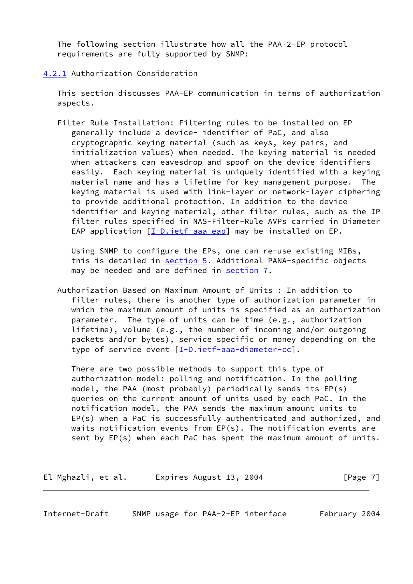The following section illustrate how all the PAA-2-EP protocol requirements are fully supported by SNMP:

### <span id="page-7-0"></span>[4.2.1](#page-7-0) Authorization Consideration

 This section discusses PAA-EP communication in terms of authorization aspects.

 Filter Rule Installation: Filtering rules to be installed on EP generally include a device- identifier of PaC, and also cryptographic keying material (such as keys, key pairs, and initialization values) when needed. The keying material is needed when attackers can eavesdrop and spoof on the device identifiers easily. Each keying material is uniquely identified with a keying material name and has a lifetime for key management purpose. The keying material is used with link-layer or network-layer ciphering to provide additional protection. In addition to the device identifier and keying material, other filter rules, such as the IP filter rules specified in NAS-Filter-Rule AVPs carried in Diameter EAP application  $[I-D.iett-aaa-eap]$  may be installed on EP.

 Using SNMP to configure the EPs, one can re-use existing MIBs, this is detailed in [section 5.](#page-11-0) Additional PANA-specific objects may be needed and are defined in [section 7.](#page-18-0)

 Authorization Based on Maximum Amount of Units : In addition to filter rules, there is another type of authorization parameter in which the maximum amount of units is specified as an authorization parameter. The type of units can be time (e.g., authorization lifetime), volume (e.g., the number of incoming and/or outgoing packets and/or bytes), service specific or money depending on the type of service event [\[I-D.ietf-aaa-diameter-cc](#page-33-1)].

 There are two possible methods to support this type of authorization model: polling and notification. In the polling model, the PAA (most probably) periodically sends its EP(s) queries on the current amount of units used by each PaC. In the notification model, the PAA sends the maximum amount units to EP(s) when a PaC is successfully authenticated and authorized, and waits notification events from EP(s). The notification events are sent by EP(s) when each PaC has spent the maximum amount of units.

El Mghazli, et al. Expires August 13, 2004 [Page 7]

<span id="page-7-1"></span>Internet-Draft SNMP usage for PAA-2-EP interface February 2004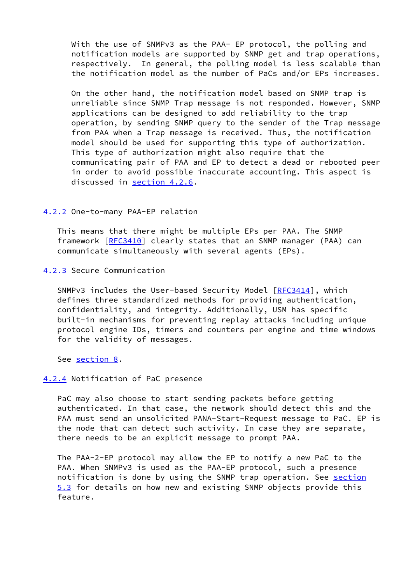With the use of SNMPv3 as the PAA- EP protocol, the polling and notification models are supported by SNMP get and trap operations, respectively. In general, the polling model is less scalable than the notification model as the number of PaCs and/or EPs increases.

 On the other hand, the notification model based on SNMP trap is unreliable since SNMP Trap message is not responded. However, SNMP applications can be designed to add reliability to the trap operation, by sending SNMP query to the sender of the Trap message from PAA when a Trap message is received. Thus, the notification model should be used for supporting this type of authorization. This type of authorization might also require that the communicating pair of PAA and EP to detect a dead or rebooted peer in order to avoid possible inaccurate accounting. This aspect is discussed in [section 4.2.6](#page-9-2).

#### <span id="page-8-0"></span>[4.2.2](#page-8-0) One-to-many PAA-EP relation

 This means that there might be multiple EPs per PAA. The SNMP framework [[RFC3410](https://datatracker.ietf.org/doc/pdf/rfc3410)] clearly states that an SNMP manager (PAA) can communicate simultaneously with several agents (EPs).

### <span id="page-8-1"></span>[4.2.3](#page-8-1) Secure Communication

SNMPv3 includes the User-based Security Model [[RFC3414](https://datatracker.ietf.org/doc/pdf/rfc3414)], which defines three standardized methods for providing authentication, confidentiality, and integrity. Additionally, USM has specific built-in mechanisms for preventing replay attacks including unique protocol engine IDs, timers and counters per engine and time windows for the validity of messages.

See [section 8.](#page-27-0)

### <span id="page-8-2"></span>[4.2.4](#page-8-2) Notification of PaC presence

 PaC may also choose to start sending packets before getting authenticated. In that case, the network should detect this and the PAA must send an unsolicited PANA-Start-Request message to PaC. EP is the node that can detect such activity. In case they are separate, there needs to be an explicit message to prompt PAA.

 The PAA-2-EP protocol may allow the EP to notify a new PaC to the PAA. When SNMPv3 is used as the PAA-EP protocol, such a presence notification is done by using the SNMP trap operation. See [section](#page-15-0) [5.3](#page-15-0) for details on how new and existing SNMP objects provide this feature.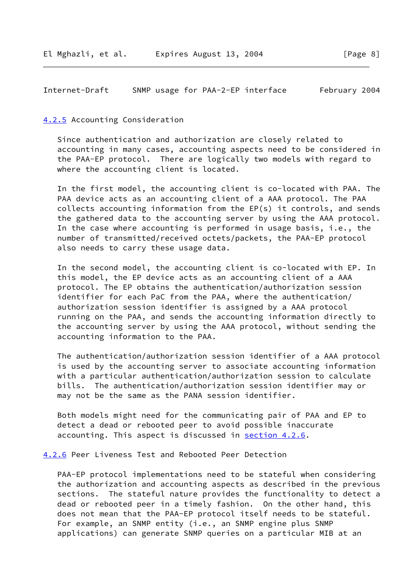<span id="page-9-1"></span>Internet-Draft SNMP usage for PAA-2-EP interface February 2004

### <span id="page-9-0"></span>[4.2.5](#page-9-0) Accounting Consideration

 Since authentication and authorization are closely related to accounting in many cases, accounting aspects need to be considered in the PAA-EP protocol. There are logically two models with regard to where the accounting client is located.

 In the first model, the accounting client is co-located with PAA. The PAA device acts as an accounting client of a AAA protocol. The PAA collects accounting information from the EP(s) it controls, and sends the gathered data to the accounting server by using the AAA protocol. In the case where accounting is performed in usage basis, i.e., the number of transmitted/received octets/packets, the PAA-EP protocol also needs to carry these usage data.

 In the second model, the accounting client is co-located with EP. In this model, the EP device acts as an accounting client of a AAA protocol. The EP obtains the authentication/authorization session identifier for each PaC from the PAA, where the authentication/ authorization session identifier is assigned by a AAA protocol running on the PAA, and sends the accounting information directly to the accounting server by using the AAA protocol, without sending the accounting information to the PAA.

 The authentication/authorization session identifier of a AAA protocol is used by the accounting server to associate accounting information with a particular authentication/authorization session to calculate bills. The authentication/authorization session identifier may or may not be the same as the PANA session identifier.

 Both models might need for the communicating pair of PAA and EP to detect a dead or rebooted peer to avoid possible inaccurate accounting. This aspect is discussed in **section 4.2.6**.

<span id="page-9-2"></span>[4.2.6](#page-9-2) Peer Liveness Test and Rebooted Peer Detection

 PAA-EP protocol implementations need to be stateful when considering the authorization and accounting aspects as described in the previous sections. The stateful nature provides the functionality to detect a dead or rebooted peer in a timely fashion. On the other hand, this does not mean that the PAA-EP protocol itself needs to be stateful. For example, an SNMP entity (i.e., an SNMP engine plus SNMP applications) can generate SNMP queries on a particular MIB at an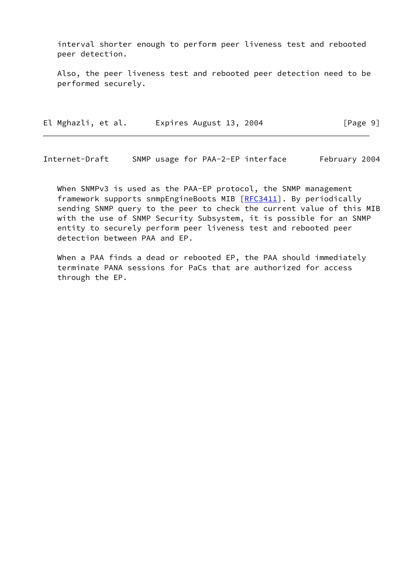interval shorter enough to perform peer liveness test and rebooted peer detection.

 Also, the peer liveness test and rebooted peer detection need to be performed securely.

El Mghazli, et al. Expires August 13, 2004 [Page 9]

Internet-Draft SNMP usage for PAA-2-EP interface February 2004

When SNMPv3 is used as the PAA-EP protocol, the SNMP management framework supports snmpEngineBoots MIB [\[RFC3411](https://datatracker.ietf.org/doc/pdf/rfc3411)]. By periodically sending SNMP query to the peer to check the current value of this MIB with the use of SNMP Security Subsystem, it is possible for an SNMP entity to securely perform peer liveness test and rebooted peer detection between PAA and EP.

 When a PAA finds a dead or rebooted EP, the PAA should immediately terminate PANA sessions for PaCs that are authorized for access through the EP.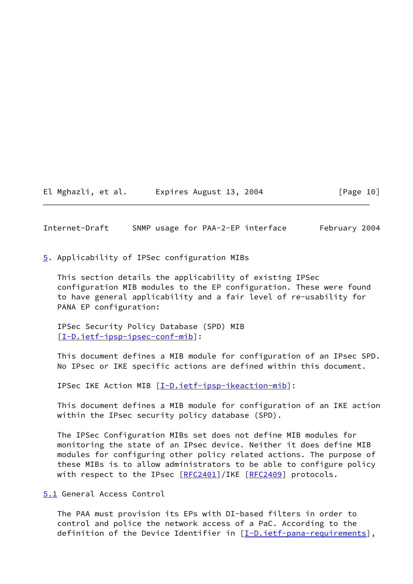El Mghazli, et al. Expires August 13, 2004 [Page 10]

<span id="page-11-1"></span>Internet-Draft SNMP usage for PAA-2-EP interface February 2004

<span id="page-11-0"></span>[5](#page-11-0). Applicability of IPSec configuration MIBs

 This section details the applicability of existing IPSec configuration MIB modules to the EP configuration. These were found to have general applicability and a fair level of re-usability for PANA EP configuration:

 IPSec Security Policy Database (SPD) MIB [\[I-D.ietf-ipsp-ipsec-conf-mib](#page-31-0)]:

 This document defines a MIB module for configuration of an IPsec SPD. No IPsec or IKE specific actions are defined within this document.

IPSec IKE Action MIB [\[I-D.ietf-ipsp-ikeaction-mib](#page-31-1)]:

 This document defines a MIB module for configuration of an IKE action within the IPsec security policy database (SPD).

 The IPSec Configuration MIBs set does not define MIB modules for monitoring the state of an IPsec device. Neither it does define MIB modules for configuring other policy related actions. The purpose of these MIBs is to allow administrators to be able to configure policy with respect to the IPsec [[RFC2401](https://datatracker.ietf.org/doc/pdf/rfc2401)]/IKE [\[RFC2409](https://datatracker.ietf.org/doc/pdf/rfc2409)] protocols.

<span id="page-11-2"></span>[5.1](#page-11-2) General Access Control

 The PAA must provision its EPs with DI-based filters in order to control and police the network access of a PaC. According to the definition of the Device Identifier in  $[I-D.iet f-pana-requirements]$ ,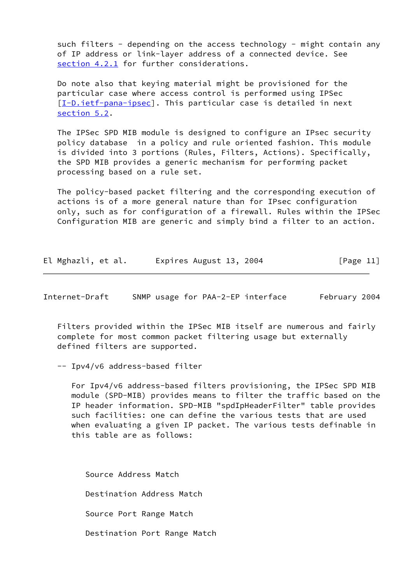such filters - depending on the access technology - might contain any of IP address or link-layer address of a connected device. See [section 4.2.1](#page-7-0) for further considerations.

 Do note also that keying material might be provisioned for the particular case where access control is performed using IPSec [\[I-D.ietf-pana-ipsec](#page-15-1)]. This particular case is detailed in next [section 5.2](#page-13-0).

 The IPSec SPD MIB module is designed to configure an IPsec security policy database in a policy and rule oriented fashion. This module is divided into 3 portions (Rules, Filters, Actions). Specifically, the SPD MIB provides a generic mechanism for performing packet processing based on a rule set.

 The policy-based packet filtering and the corresponding execution of actions is of a more general nature than for IPsec configuration only, such as for configuration of a firewall. Rules within the IPSec Configuration MIB are generic and simply bind a filter to an action.

| El Mghazli, et al. | Expires August 13, 2004 | [Page 11] |
|--------------------|-------------------------|-----------|
|--------------------|-------------------------|-----------|

Internet-Draft SNMP usage for PAA-2-EP interface February 2004

 Filters provided within the IPSec MIB itself are numerous and fairly complete for most common packet filtering usage but externally defined filters are supported.

-- Ipv4/v6 address-based filter

 For Ipv4/v6 address-based filters provisioning, the IPSec SPD MIB module (SPD-MIB) provides means to filter the traffic based on the IP header information. SPD-MIB "spdIpHeaderFilter" table provides such facilities: one can define the various tests that are used when evaluating a given IP packet. The various tests definable in this table are as follows:

 Source Address Match Destination Address Match Source Port Range Match Destination Port Range Match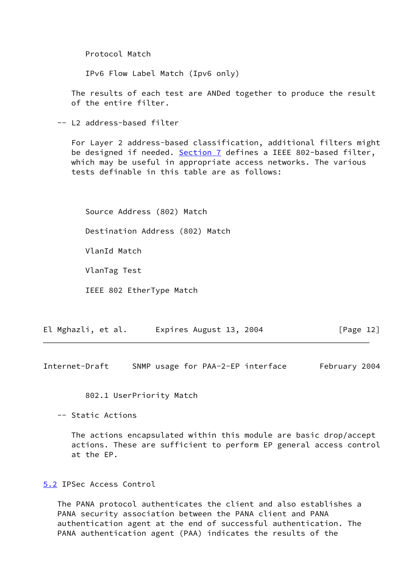Protocol Match

IPv6 Flow Label Match (Ipv6 only)

 The results of each test are ANDed together to produce the result of the entire filter.

-- L2 address-based filter

 For Layer 2 address-based classification, additional filters might be designed if needed. [Section 7](#page-18-0) defines a IEEE 802-based filter, which may be useful in appropriate access networks. The various tests definable in this table are as follows:

 Source Address (802) Match Destination Address (802) Match VlanId Match VlanTag Test

IEEE 802 EtherType Match

| El Mghazli, et al. | Expires August 13, 2004 | [Page 12] |
|--------------------|-------------------------|-----------|
|--------------------|-------------------------|-----------|

<span id="page-13-1"></span>Internet-Draft SNMP usage for PAA-2-EP interface February 2004

802.1 UserPriority Match

-- Static Actions

 The actions encapsulated within this module are basic drop/accept actions. These are sufficient to perform EP general access control at the EP.

<span id="page-13-0"></span>[5.2](#page-13-0) IPSec Access Control

 The PANA protocol authenticates the client and also establishes a PANA security association between the PANA client and PANA authentication agent at the end of successful authentication. The PANA authentication agent (PAA) indicates the results of the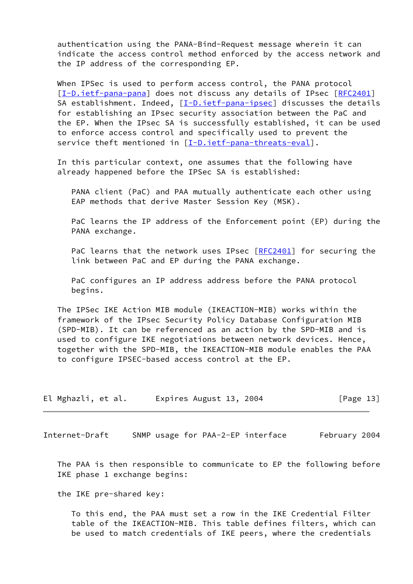authentication using the PANA-Bind-Request message wherein it can indicate the access control method enforced by the access network and the IP address of the corresponding EP.

 When IPSec is used to perform access control, the PANA protocol [\[I-D.ietf-pana-pana\]](#page-30-2) does not discuss any details of IPsec [[RFC2401\]](https://datatracker.ietf.org/doc/pdf/rfc2401) SA establishment. Indeed, [[I-D.ietf-pana-ipsec](#page-15-1)] discusses the details for establishing an IPsec security association between the PaC and the EP. When the IPsec SA is successfully established, it can be used to enforce access control and specifically used to prevent the service theft mentioned in [[I-D.ietf-pana-threats-eval\]](#page-31-2).

 In this particular context, one assumes that the following have already happened before the IPSec SA is established:

 PANA client (PaC) and PAA mutually authenticate each other using EAP methods that derive Master Session Key (MSK).

 PaC learns the IP address of the Enforcement point (EP) during the PANA exchange.

PaC learns that the network uses IPsec  $[REC2401]$  for securing the link between PaC and EP during the PANA exchange.

 PaC configures an IP address address before the PANA protocol begins.

 The IPSec IKE Action MIB module (IKEACTION-MIB) works within the framework of the IPsec Security Policy Database Configuration MIB (SPD-MIB). It can be referenced as an action by the SPD-MIB and is used to configure IKE negotiations between network devices. Hence, together with the SPD-MIB, the IKEACTION-MIB module enables the PAA to configure IPSEC-based access control at the EP.

| El Mghazli, et al. | Expires August 13, 2004 | [Page 13] |
|--------------------|-------------------------|-----------|
|--------------------|-------------------------|-----------|

<span id="page-14-0"></span>Internet-Draft SNMP usage for PAA-2-EP interface February 2004

 The PAA is then responsible to communicate to EP the following before IKE phase 1 exchange begins:

the IKE pre-shared key:

 To this end, the PAA must set a row in the IKE Credential Filter table of the IKEACTION-MIB. This table defines filters, which can be used to match credentials of IKE peers, where the credentials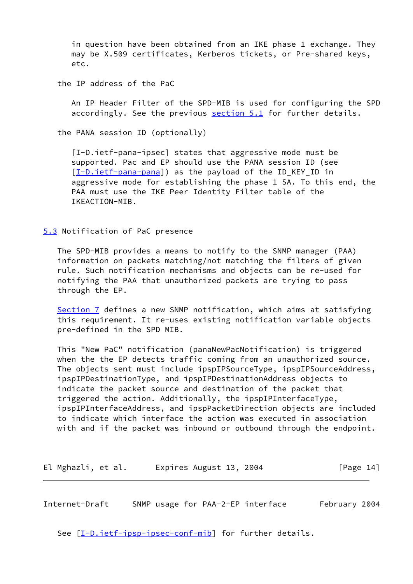in question have been obtained from an IKE phase 1 exchange. They may be X.509 certificates, Kerberos tickets, or Pre-shared keys, etc.

the IP address of the PaC

 An IP Header Filter of the SPD-MIB is used for configuring the SPD accordingly. See the previous [section 5.1](#page-11-2) for further details.

the PANA session ID (optionally)

<span id="page-15-1"></span> [I-D.ietf-pana-ipsec] states that aggressive mode must be supported. Pac and EP should use the PANA session ID (see [[I-D.ietf-pana-pana\]](#page-30-2)) as the payload of the ID\_KEY\_ID in aggressive mode for establishing the phase 1 SA. To this end, the PAA must use the IKE Peer Identity Filter table of the IKEACTION-MIB.

<span id="page-15-0"></span>[5.3](#page-15-0) Notification of PaC presence

 The SPD-MIB provides a means to notify to the SNMP manager (PAA) information on packets matching/not matching the filters of given rule. Such notification mechanisms and objects can be re-used for notifying the PAA that unauthorized packets are trying to pass through the EP.

[Section 7](#page-18-0) defines a new SNMP notification, which aims at satisfying this requirement. It re-uses existing notification variable objects pre-defined in the SPD MIB.

 This "New PaC" notification (panaNewPacNotification) is triggered when the the EP detects traffic coming from an unauthorized source. The objects sent must include ipspIPSourceType, ipspIPSourceAddress, ipspIPDestinationType, and ipspIPDestinationAddress objects to indicate the packet source and destination of the packet that triggered the action. Additionally, the ipspIPInterfaceType, ipspIPInterfaceAddress, and ipspPacketDirection objects are included to indicate which interface the action was executed in association with and if the packet was inbound or outbound through the endpoint.

El Mghazli, et al. Expires August 13, 2004 [Page 14]

Internet-Draft SNMP usage for PAA-2-EP interface February 2004

See  $[\underline{I-D.iett-ipsp-ipsec-conf-mib}]$  for further details.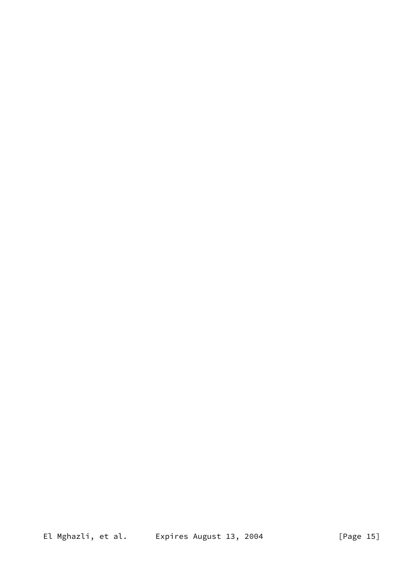El Mghazli, et al. Expires August 13, 2004 [Page 15]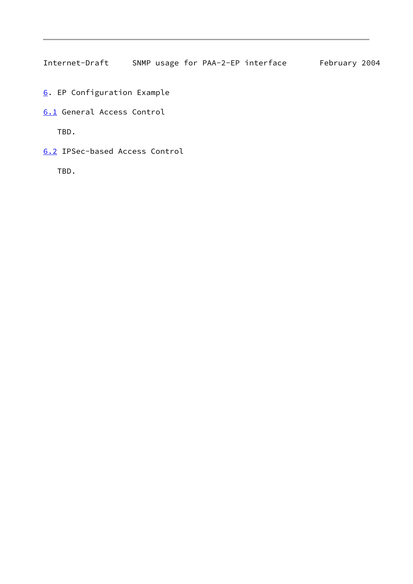<span id="page-17-1"></span>Internet-Draft SNMP usage for PAA-2-EP interface February 2004

<span id="page-17-0"></span>[6](#page-17-0). EP Configuration Example

<span id="page-17-2"></span>[6.1](#page-17-2) General Access Control

TBD.

<span id="page-17-3"></span>[6.2](#page-17-3) IPSec-based Access Control

TBD.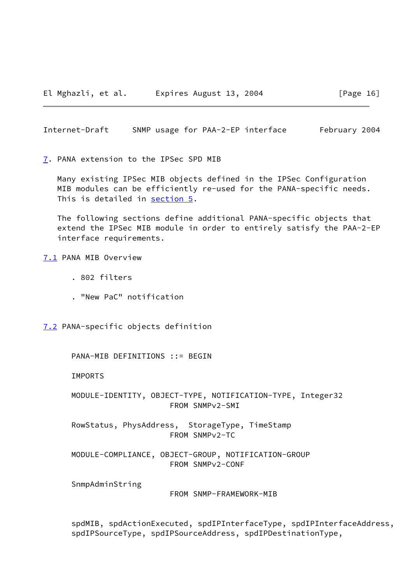<span id="page-18-1"></span>Internet-Draft SNMP usage for PAA-2-EP interface February 2004

<span id="page-18-0"></span>[7](#page-18-0). PANA extension to the IPSec SPD MIB

 Many existing IPSec MIB objects defined in the IPSec Configuration MIB modules can be efficiently re-used for the PANA-specific needs. This is detailed in [section 5.](#page-11-0)

 The following sections define additional PANA-specific objects that extend the IPSec MIB module in order to entirely satisfy the PAA-2-EP interface requirements.

#### <span id="page-18-2"></span>[7.1](#page-18-2) PANA MIB Overview

- . 802 filters
- . "New PaC" notification

<span id="page-18-3"></span>[7.2](#page-18-3) PANA-specific objects definition

PANA-MIB DEFINITIONS ::= BEGIN

IMPORTS

 MODULE-IDENTITY, OBJECT-TYPE, NOTIFICATION-TYPE, Integer32 FROM SNMPv2-SMI

 RowStatus, PhysAddress, StorageType, TimeStamp FROM SNMPv2-TC

 MODULE-COMPLIANCE, OBJECT-GROUP, NOTIFICATION-GROUP FROM SNMPv2-CONF

SnmpAdminString

FROM SNMP-FRAMEWORK-MIB

 spdMIB, spdActionExecuted, spdIPInterfaceType, spdIPInterfaceAddress, spdIPSourceType, spdIPSourceAddress, spdIPDestinationType,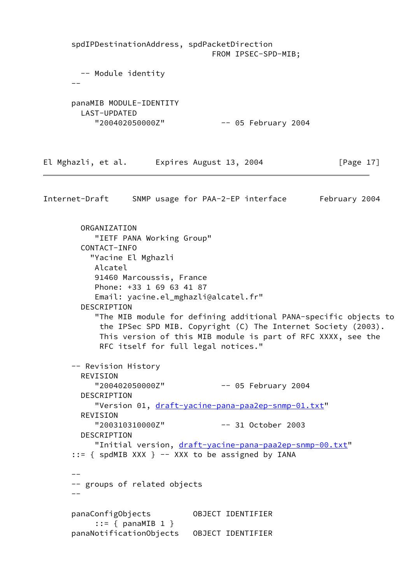spdIPDestinationAddress, spdPacketDirection FROM IPSEC-SPD-MIB;

```
 -- Module identity
```
 $--$ 

 panaMIB MODULE-IDENTITY LAST-UPDATED "200402050000Z" -- 05 February 2004

El Mghazli, et al. Expires August 13, 2004 [Page 17]

Internet-Draft SNMP usage for PAA-2-EP interface February 2004 ORGANIZATION "IETF PANA Working Group" CONTACT-INFO "Yacine El Mghazli Alcatel 91460 Marcoussis, France Phone: +33 1 69 63 41 87 Email: yacine.el\_mghazli@alcatel.fr" DESCRIPTION "The MIB module for defining additional PANA-specific objects to the IPSec SPD MIB. Copyright (C) The Internet Society (2003). This version of this MIB module is part of RFC XXXX, see the RFC itself for full legal notices." -- Revision History REVISION "200402050000Z" -- 05 February 2004 DESCRIPTION "Version 01, [draft-yacine-pana-paa2ep-snmp-01.txt](https://datatracker.ietf.org/doc/pdf/draft-yacine-pana-paa2ep-snmp-01.txt)" REVISION "200310310000Z" -- 31 October 2003 DESCRIPTION "Initial version, [draft-yacine-pana-paa2ep-snmp-00.txt](https://datatracker.ietf.org/doc/pdf/draft-yacine-pana-paa2ep-snmp-00.txt)" ::= { spdMIB XXX } -- XXX to be assigned by IANA -- -- groups of related objects  $$  panaConfigObjects OBJECT IDENTIFIER ::= { panaMIB 1 } panaNotificationObjects OBJECT IDENTIFIER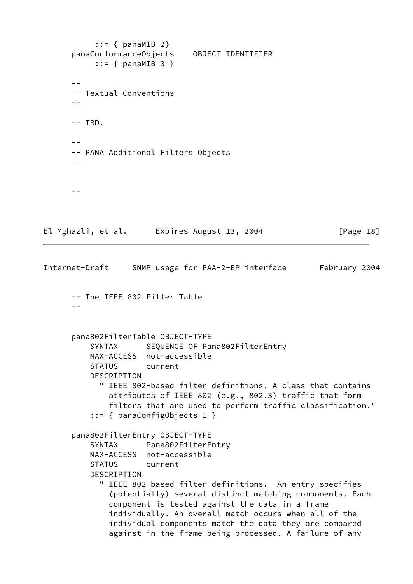$::= {$  panaMIB 2} panaConformanceObjects OBJECT IDENTIFIER ::= { panaMIB 3 }  $-$  -- Textual Conventions  $- --$  TBD. -- -- PANA Additional Filters Objects  $- -$ El Mghazli, et al. Expires August 13, 2004 [Page 18] Internet-Draft SNMP usage for PAA-2-EP interface February 2004 -- The IEEE 802 Filter Table  $$  pana802FilterTable OBJECT-TYPE SYNTAX SEQUENCE OF Pana802FilterEntry MAX-ACCESS not-accessible STATUS current DESCRIPTION " IEEE 802-based filter definitions. A class that contains attributes of IEEE 802 (e.g., 802.3) traffic that form filters that are used to perform traffic classification." ::= { panaConfigObjects 1 } pana802FilterEntry OBJECT-TYPE SYNTAX Pana802FilterEntry MAX-ACCESS not-accessible STATUS current DESCRIPTION " IEEE 802-based filter definitions. An entry specifies (potentially) several distinct matching components. Each component is tested against the data in a frame individually. An overall match occurs when all of the individual components match the data they are compared against in the frame being processed. A failure of any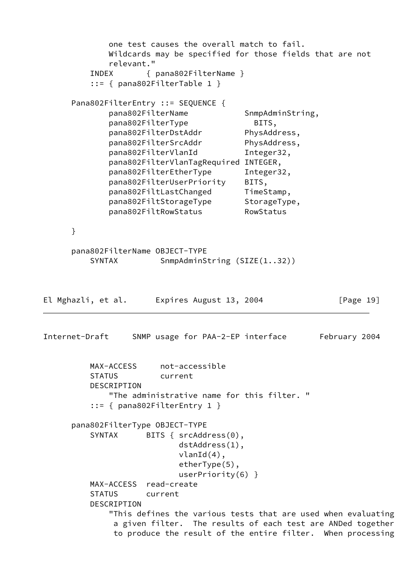```
 one test causes the overall match to fail.
              Wildcards may be specified for those fields that are not
              relevant."
          INDEX { pana802FilterName }
          ::= { pana802FilterTable 1 }
      Pana802FilterEntry ::= SEQUENCE {
             pana802FilterName SnmpAdminString,
             pana802FilterType BITS,
             pana802FilterDstAddr PhysAddress,
             pana802FilterSrcAddr PhysAddress,
              pana802FilterVlanId Integer32,
              pana802FilterVlanTagRequired INTEGER,
              pana802FilterEtherType Integer32,
              pana802FilterUserPriority BITS,
              pana802FiltLastChanged TimeStamp,
              pana802FiltStorageType StorageType,
              pana802FiltRowStatus RowStatus
      }
      pana802FilterName OBJECT-TYPE
         SYNTAX SnmpAdminString (SIZE(1..32))
El Mghazli, et al.     Expires August 13, 2004                 [Page 19]
Internet-Draft SNMP usage for PAA-2-EP interface February 2004
          MAX-ACCESS not-accessible
          STATUS current
          DESCRIPTION
              "The administrative name for this filter. "
          ::= { pana802FilterEntry 1 }
      pana802FilterType OBJECT-TYPE
         SYNTAX BITS { srcAddress(0),
                            dstAddress(1),
                            vlanId(4),
                            etherType(5),
                            userPriority(6) }
          MAX-ACCESS read-create
          STATUS current
          DESCRIPTION
              "This defines the various tests that are used when evaluating
               a given filter. The results of each test are ANDed together
               to produce the result of the entire filter. When processing
```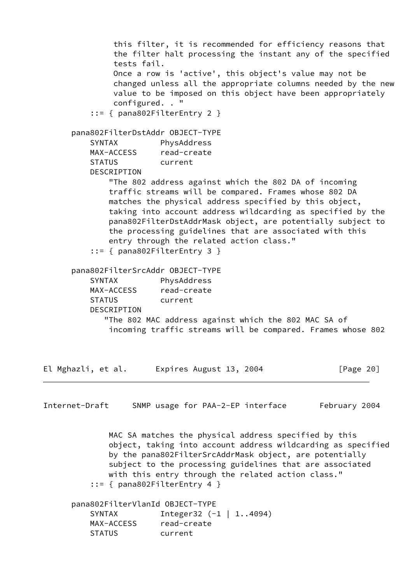this filter, it is recommended for efficiency reasons that the filter halt processing the instant any of the specified tests fail. Once a row is 'active', this object's value may not be changed unless all the appropriate columns needed by the new value to be imposed on this object have been appropriately configured. . " ::= { pana802FilterEntry 2 } pana802FilterDstAddr OBJECT-TYPE SYNTAX PhysAddress MAX-ACCESS read-create STATUS current DESCRIPTION "The 802 address against which the 802 DA of incoming traffic streams will be compared. Frames whose 802 DA matches the physical address specified by this object, taking into account address wildcarding as specified by the pana802FilterDstAddrMask object, are potentially subject to the processing guidelines that are associated with this entry through the related action class." ::= { pana802FilterEntry 3 } pana802FilterSrcAddr OBJECT-TYPE SYNTAX PhysAddress MAX-ACCESS read-create STATUS current DESCRIPTION "The 802 MAC address against which the 802 MAC SA of incoming traffic streams will be compared. Frames whose 802 El Mghazli, et al. Expires August 13, 2004 [Page 20] Internet-Draft SNMP usage for PAA-2-EP interface February 2004 MAC SA matches the physical address specified by this object, taking into account address wildcarding as specified by the pana802FilterSrcAddrMask object, are potentially subject to the processing guidelines that are associated with this entry through the related action class." ::= { pana802FilterEntry 4 } pana802FilterVlanId OBJECT-TYPE SYNTAX Integer32 (-1 | 1..4094) MAX-ACCESS read-create

STATUS current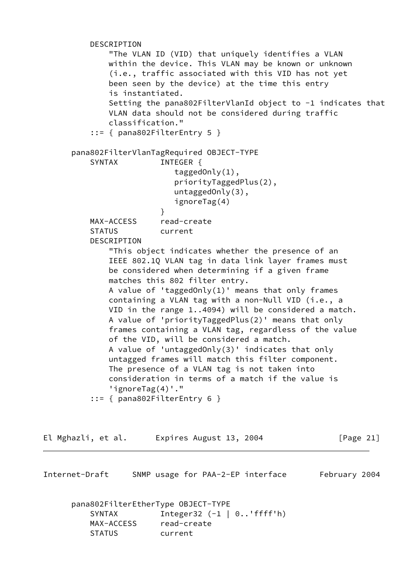DESCRIPTION "The VLAN ID (VID) that uniquely identifies a VLAN within the device. This VLAN may be known or unknown (i.e., traffic associated with this VID has not yet been seen by the device) at the time this entry is instantiated. Setting the pana802FilterVlanId object to -1 indicates that VLAN data should not be considered during traffic classification." ::= { pana802FilterEntry 5 } pana802FilterVlanTagRequired OBJECT-TYPE SYNTAX INTEGER { taggedOnly(1), priorityTaggedPlus(2), untaggedOnly(3), ignoreTag(4) } MAX-ACCESS read-create STATUS current DESCRIPTION "This object indicates whether the presence of an IEEE 802.1Q VLAN tag in data link layer frames must be considered when determining if a given frame matches this 802 filter entry. A value of 'taggedOnly(1)' means that only frames containing a VLAN tag with a non-Null VID (i.e., a VID in the range 1..4094) will be considered a match. A value of 'priorityTaggedPlus(2)' means that only frames containing a VLAN tag, regardless of the value of the VID, will be considered a match. A value of 'untaggedOnly(3)' indicates that only untagged frames will match this filter component. The presence of a VLAN tag is not taken into consideration in terms of a match if the value is 'ignoreTag(4)'." ::= { pana802FilterEntry 6 } El Mghazli, et al. Expires August 13, 2004 [Page 21] Internet-Draft SNMP usage for PAA-2-EP interface February 2004 pana802FilterEtherType OBJECT-TYPE SYNTAX Integer32 (-1 | 0..'ffff'h) MAX-ACCESS read-create

STATUS current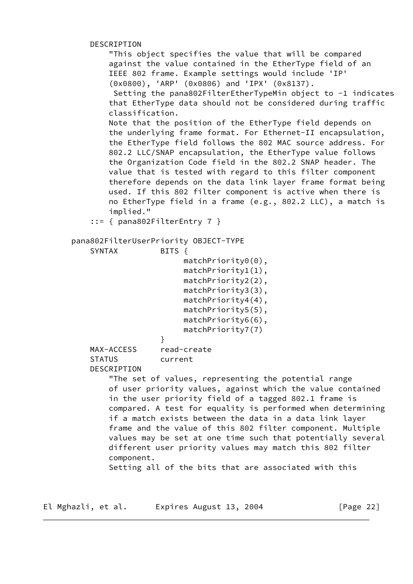DESCRIPTION

 "This object specifies the value that will be compared against the value contained in the EtherType field of an IEEE 802 frame. Example settings would include 'IP' (0x0800), 'ARP' (0x0806) and 'IPX' (0x8137). Setting the pana802FilterEtherTypeMin object to -1 indicates that EtherType data should not be considered during traffic classification. Note that the position of the EtherType field depends on the underlying frame format. For Ethernet-II encapsulation, the EtherType field follows the 802 MAC source address. For 802.2 LLC/SNAP encapsulation, the EtherType value follows the Organization Code field in the 802.2 SNAP header. The value that is tested with regard to this filter component therefore depends on the data link layer frame format being used. If this 802 filter component is active when there is no EtherType field in a frame (e.g., 802.2 LLC), a match is implied."

::= { pana802FilterEntry 7 }

 pana802FilterUserPriority OBJECT-TYPE SYNTAX BITS { matchPriority0(0), matchPriority1(1), matchPriority2(2), matchPriority3(3), matchPriority4(4), matchPriority5(5), matchPriority6(6), matchPriority7(7) } MAX-ACCESS read-create STATUS current DESCRIPTION "The set of values, representing the potential range of user priority values, against which the value contained in the user priority field of a tagged 802.1 frame is compared. A test for equality is performed when determining if a match exists between the data in a data link layer frame and the value of this 802 filter component. Multiple values may be set at one time such that potentially several different user priority values may match this 802 filter component. Setting all of the bits that are associated with this

El Mghazli, et al. Expires August 13, 2004 [Page 22]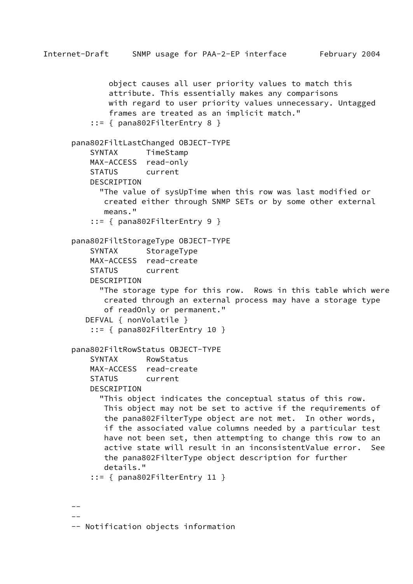```
 object causes all user priority values to match this
         attribute. This essentially makes any comparisons
         with regard to user priority values unnecessary. Untagged
         frames are treated as an implicit match."
     ::= { pana802FilterEntry 8 }
 pana802FiltLastChanged OBJECT-TYPE
     SYNTAX TimeStamp
    MAX-ACCESS read-only
    STATUS current
    DESCRIPTION
       "The value of sysUpTime when this row was last modified or
        created either through SNMP SETs or by some other external
        means."
     ::= { pana802FilterEntry 9 }
 pana802FiltStorageType OBJECT-TYPE
    SYNTAX StorageType
    MAX-ACCESS read-create
    STATUS current
    DESCRIPTION
       "The storage type for this row. Rows in this table which were
        created through an external process may have a storage type
        of readOnly or permanent."
    DEFVAL { nonVolatile }
     ::= { pana802FilterEntry 10 }
 pana802FiltRowStatus OBJECT-TYPE
    SYNTAX RowStatus
    MAX-ACCESS read-create
    STATUS current
    DESCRIPTION
       "This object indicates the conceptual status of this row.
        This object may not be set to active if the requirements of
        the pana802FilterType object are not met. In other words,
        if the associated value columns needed by a particular test
        have not been set, then attempting to change this row to an
        active state will result in an inconsistentValue error. See
        the pana802FilterType object description for further
        details."
     ::= { pana802FilterEntry 11 }
```
- --
	- $-$
	- -- Notification objects information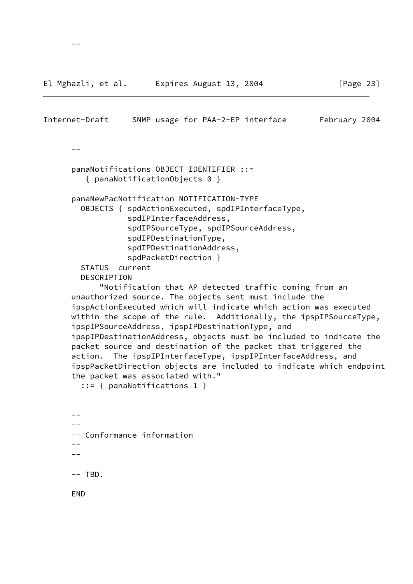El Mghazli, et al. Expires August 13, 2004 [Page 23]

| Internet-Draft                | SNMP usage for PAA-2-EP interface                                                                                                                                                                                                                                                                                                                                                                                                                                                                                                                                                                                                                               |  | February 2004 |  |
|-------------------------------|-----------------------------------------------------------------------------------------------------------------------------------------------------------------------------------------------------------------------------------------------------------------------------------------------------------------------------------------------------------------------------------------------------------------------------------------------------------------------------------------------------------------------------------------------------------------------------------------------------------------------------------------------------------------|--|---------------|--|
|                               |                                                                                                                                                                                                                                                                                                                                                                                                                                                                                                                                                                                                                                                                 |  |               |  |
|                               | panaNotifications OBJECT IDENTIFIER ::=<br>{ panaNotificationObjects 0 }                                                                                                                                                                                                                                                                                                                                                                                                                                                                                                                                                                                        |  |               |  |
| STATUS current<br>DESCRIPTION | panaNewPacNotification NOTIFICATION-TYPE<br>OBJECTS { spdActionExecuted, spdIPInterfaceType,<br>spdIPInterfaceAddress,<br>spdIPSourceType, spdIPSourceAddress,<br>spdIPDestinationType,<br>spdIPDestinationAddress,<br>spdPacketDirection }                                                                                                                                                                                                                                                                                                                                                                                                                     |  |               |  |
|                               | "Notification that AP detected traffic coming from an<br>unauthorized source. The objects sent must include the<br>ipspActionExecuted which will indicate which action was executed<br>within the scope of the rule. Additionally, the ipspIPSourceType,<br>ipspIPSourceAddress, ipspIPDestinationType, and<br>ipspIPDestinationAddress, objects must be included to indicate the<br>packet source and destination of the packet that triggered the<br>action. The ipspIPInterfaceType, ipspIPInterfaceAddress, and<br>ipspPacketDirection objects are included to indicate which endpoint<br>the packet was associated with."<br>$::=$ { panaNotifications 1 } |  |               |  |

 $- -$  -- Conformance information -- --  $--$  TBD. END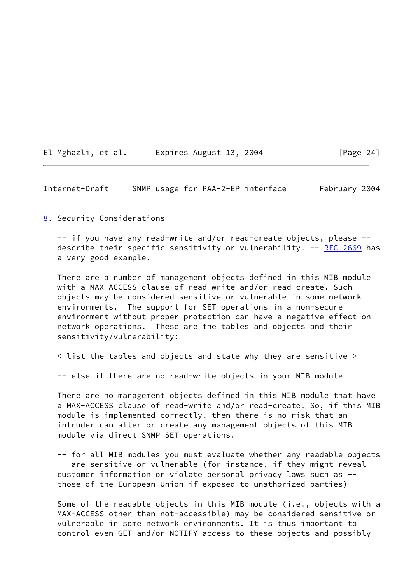| El Mghazli, et al. | Expires August 13, 2004 |  |  |
|--------------------|-------------------------|--|--|
|                    |                         |  |  |

 $[Page 24]$ 

<span id="page-27-1"></span>Internet-Draft SNMP usage for PAA-2-EP interface February 2004

<span id="page-27-0"></span>[8](#page-27-0). Security Considerations

 -- if you have any read-write and/or read-create objects, please - describe their specific sensitivity or vulnerability.  $-$  [RFC 2669](https://datatracker.ietf.org/doc/pdf/rfc2669) has a very good example.

 There are a number of management objects defined in this MIB module with a MAX-ACCESS clause of read-write and/or read-create. Such objects may be considered sensitive or vulnerable in some network environments. The support for SET operations in a non-secure environment without proper protection can have a negative effect on network operations. These are the tables and objects and their sensitivity/vulnerability:

< list the tables and objects and state why they are sensitive >

-- else if there are no read-write objects in your MIB module

 There are no management objects defined in this MIB module that have a MAX-ACCESS clause of read-write and/or read-create. So, if this MIB module is implemented correctly, then there is no risk that an intruder can alter or create any management objects of this MIB module via direct SNMP SET operations.

 -- for all MIB modules you must evaluate whether any readable objects -- are sensitive or vulnerable (for instance, if they might reveal - customer information or violate personal privacy laws such as - those of the European Union if exposed to unathorized parties)

Some of the readable objects in this MIB module (i.e., objects with a MAX-ACCESS other than not-accessible) may be considered sensitive or vulnerable in some network environments. It is thus important to control even GET and/or NOTIFY access to these objects and possibly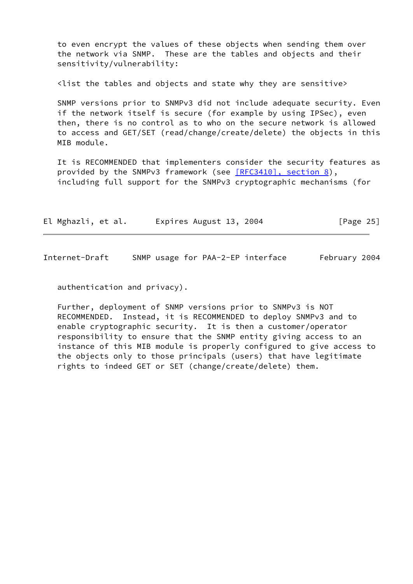to even encrypt the values of these objects when sending them over the network via SNMP. These are the tables and objects and their sensitivity/vulnerability:

<list the tables and objects and state why they are sensitive>

 SNMP versions prior to SNMPv3 did not include adequate security. Even if the network itself is secure (for example by using IPSec), even then, there is no control as to who on the secure network is allowed to access and GET/SET (read/change/create/delete) the objects in this MIB module.

 It is RECOMMENDED that implementers consider the security features as provided by the SNMPv3 framework (see  $[REC3410]$ , section 8), including full support for the SNMPv3 cryptographic mechanisms (for

| El Mghazli, et al. | Expires August 13, 2004 | [Page 25] |
|--------------------|-------------------------|-----------|
|--------------------|-------------------------|-----------|

Internet-Draft SNMP usage for PAA-2-EP interface February 2004

authentication and privacy).

 Further, deployment of SNMP versions prior to SNMPv3 is NOT RECOMMENDED. Instead, it is RECOMMENDED to deploy SNMPv3 and to enable cryptographic security. It is then a customer/operator responsibility to ensure that the SNMP entity giving access to an instance of this MIB module is properly configured to give access to the objects only to those principals (users) that have legitimate rights to indeed GET or SET (change/create/delete) them.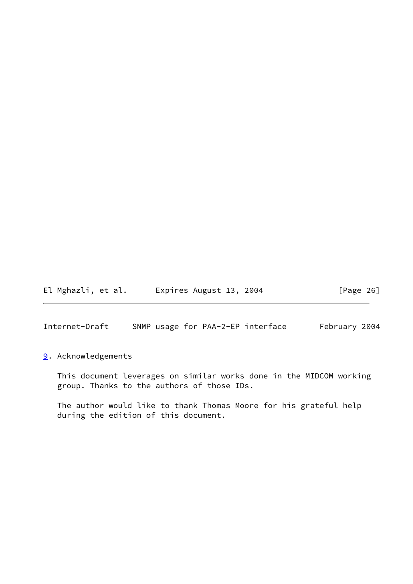El Mghazli, et al. Expires August 13, 2004 [Page 26]

<span id="page-29-1"></span>Internet-Draft SNMP usage for PAA-2-EP interface February 2004

## <span id="page-29-0"></span>[9](#page-29-0). Acknowledgements

 This document leverages on similar works done in the MIDCOM working group. Thanks to the authors of those IDs.

 The author would like to thank Thomas Moore for his grateful help during the edition of this document.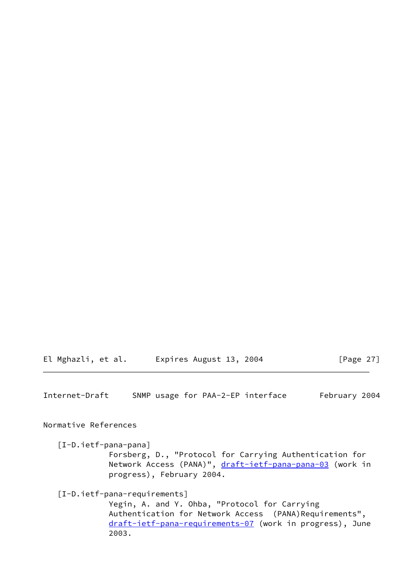El Mghazli, et al. Expires August 13, 2004 [Page 27]

<span id="page-30-0"></span>Internet-Draft SNMP usage for PAA-2-EP interface February 2004

Normative References

<span id="page-30-2"></span>[I-D.ietf-pana-pana]

 Forsberg, D., "Protocol for Carrying Authentication for Network Access (PANA)", [draft-ietf-pana-pana-03](https://datatracker.ietf.org/doc/pdf/draft-ietf-pana-pana-03) (work in progress), February 2004.

<span id="page-30-1"></span>[I-D.ietf-pana-requirements]

 Yegin, A. and Y. Ohba, "Protocol for Carrying Authentication for Network Access (PANA)Requirements", [draft-ietf-pana-requirements-07](https://datatracker.ietf.org/doc/pdf/draft-ietf-pana-requirements-07) (work in progress), June 2003.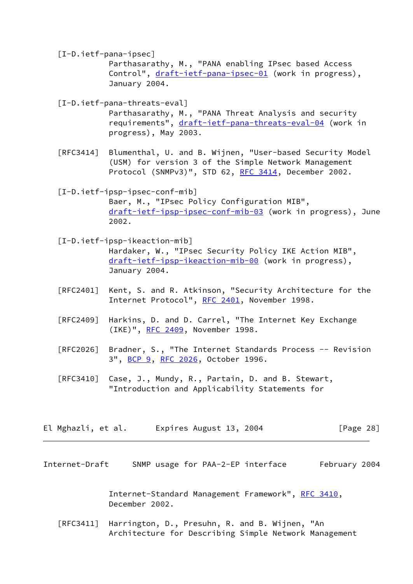# [I-D.ietf-pana-ipsec]

 Parthasarathy, M., "PANA enabling IPsec based Access Control", [draft-ietf-pana-ipsec-01](https://datatracker.ietf.org/doc/pdf/draft-ietf-pana-ipsec-01) (work in progress), January 2004.

<span id="page-31-2"></span>[I-D.ietf-pana-threats-eval]

 Parthasarathy, M., "PANA Threat Analysis and security requirements", [draft-ietf-pana-threats-eval-04](https://datatracker.ietf.org/doc/pdf/draft-ietf-pana-threats-eval-04) (work in progress), May 2003.

- [RFC3414] Blumenthal, U. and B. Wijnen, "User-based Security Model (USM) for version 3 of the Simple Network Management Protocol (SNMPv3)", STD 62, [RFC 3414,](https://datatracker.ietf.org/doc/pdf/rfc3414) December 2002.
- <span id="page-31-0"></span> [I-D.ietf-ipsp-ipsec-conf-mib] Baer, M., "IPsec Policy Configuration MIB", [draft-ietf-ipsp-ipsec-conf-mib-03](https://datatracker.ietf.org/doc/pdf/draft-ietf-ipsp-ipsec-conf-mib-03) (work in progress), June 2002.
- <span id="page-31-1"></span> [I-D.ietf-ipsp-ikeaction-mib] Hardaker, W., "IPsec Security Policy IKE Action MIB", [draft-ietf-ipsp-ikeaction-mib-00](https://datatracker.ietf.org/doc/pdf/draft-ietf-ipsp-ikeaction-mib-00) (work in progress), January 2004.
- [RFC2401] Kent, S. and R. Atkinson, "Security Architecture for the Internet Protocol", [RFC 2401,](https://datatracker.ietf.org/doc/pdf/rfc2401) November 1998.
- [RFC2409] Harkins, D. and D. Carrel, "The Internet Key Exchange (IKE)", [RFC 2409,](https://datatracker.ietf.org/doc/pdf/rfc2409) November 1998.
- [RFC2026] Bradner, S., "The Internet Standards Process -- Revision 3", [BCP 9,](https://datatracker.ietf.org/doc/pdf/bcp9) [RFC 2026](https://datatracker.ietf.org/doc/pdf/rfc2026), October 1996.
- [RFC3410] Case, J., Mundy, R., Partain, D. and B. Stewart, "Introduction and Applicability Statements for

| El Mghazli, et al. | Expires August 13, 2004 | [Page 28] |
|--------------------|-------------------------|-----------|
|--------------------|-------------------------|-----------|

Internet-Draft SNMP usage for PAA-2-EP interface February 2004

 Internet-Standard Management Framework", [RFC 3410,](https://datatracker.ietf.org/doc/pdf/rfc3410) December 2002.

 [RFC3411] Harrington, D., Presuhn, R. and B. Wijnen, "An Architecture for Describing Simple Network Management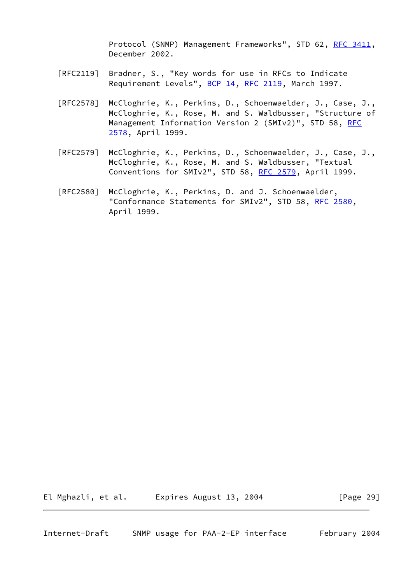Protocol (SNMP) Management Frameworks", STD 62, [RFC 3411,](https://datatracker.ietf.org/doc/pdf/rfc3411) December 2002.

- [RFC2119] Bradner, S., "Key words for use in RFCs to Indicate Requirement Levels", [BCP 14](https://datatracker.ietf.org/doc/pdf/bcp14), [RFC 2119](https://datatracker.ietf.org/doc/pdf/rfc2119), March 1997.
- [RFC2578] McCloghrie, K., Perkins, D., Schoenwaelder, J., Case, J., McCloghrie, K., Rose, M. and S. Waldbusser, "Structure of Management Information Version 2 (SMIv2)", STD 58, [RFC](https://datatracker.ietf.org/doc/pdf/rfc2578) [2578,](https://datatracker.ietf.org/doc/pdf/rfc2578) April 1999.
- [RFC2579] McCloghrie, K., Perkins, D., Schoenwaelder, J., Case, J., McCloghrie, K., Rose, M. and S. Waldbusser, "Textual Conventions for SMIv2", STD 58, [RFC 2579,](https://datatracker.ietf.org/doc/pdf/rfc2579) April 1999.
- [RFC2580] McCloghrie, K., Perkins, D. and J. Schoenwaelder, "Conformance Statements for SMIv2", STD 58, [RFC 2580,](https://datatracker.ietf.org/doc/pdf/rfc2580) April 1999.

El Mghazli, et al. Expires August 13, 2004 [Page 29]

<span id="page-32-0"></span>Internet-Draft SNMP usage for PAA-2-EP interface February 2004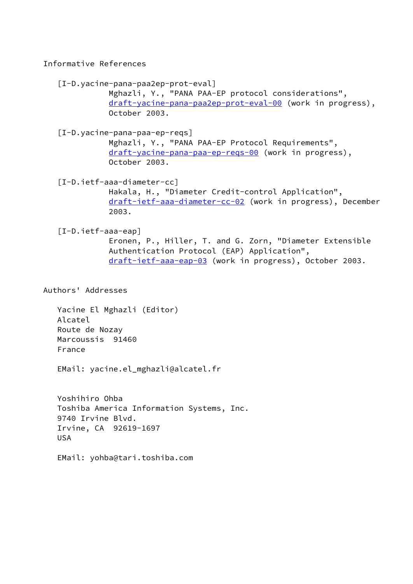Informative References

 [I-D.yacine-pana-paa2ep-prot-eval] Mghazli, Y., "PANA PAA-EP protocol considerations", [draft-yacine-pana-paa2ep-prot-eval-00](https://datatracker.ietf.org/doc/pdf/draft-yacine-pana-paa2ep-prot-eval-00) (work in progress), October 2003.

 [I-D.yacine-pana-paa-ep-reqs] Mghazli, Y., "PANA PAA-EP Protocol Requirements", [draft-yacine-pana-paa-ep-reqs-00](https://datatracker.ietf.org/doc/pdf/draft-yacine-pana-paa-ep-reqs-00) (work in progress), October 2003.

<span id="page-33-1"></span> [I-D.ietf-aaa-diameter-cc] Hakala, H., "Diameter Credit-control Application", [draft-ietf-aaa-diameter-cc-02](https://datatracker.ietf.org/doc/pdf/draft-ietf-aaa-diameter-cc-02) (work in progress), December 2003.

<span id="page-33-0"></span>[I-D.ietf-aaa-eap]

 Eronen, P., Hiller, T. and G. Zorn, "Diameter Extensible Authentication Protocol (EAP) Application", [draft-ietf-aaa-eap-03](https://datatracker.ietf.org/doc/pdf/draft-ietf-aaa-eap-03) (work in progress), October 2003.

Authors' Addresses

 Yacine El Mghazli (Editor) Alcatel Route de Nozay Marcoussis 91460 France

EMail: yacine.el\_mghazli@alcatel.fr

 Yoshihiro Ohba Toshiba America Information Systems, Inc. 9740 Irvine Blvd. Irvine, CA 92619-1697 USA

EMail: yohba@tari.toshiba.com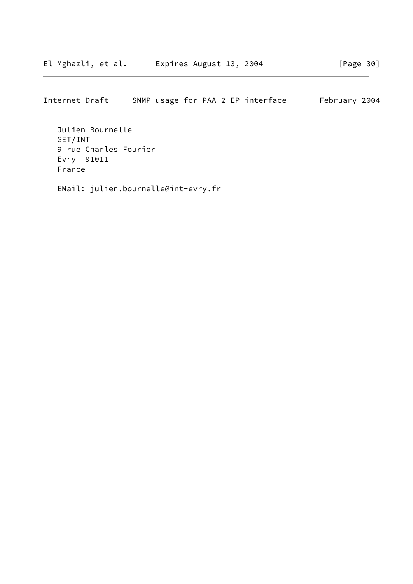Internet-Draft SNMP usage for PAA-2-EP interface February 2004

 Julien Bournelle GET/INT 9 rue Charles Fourier Evry 91011 France

EMail: julien.bournelle@int-evry.fr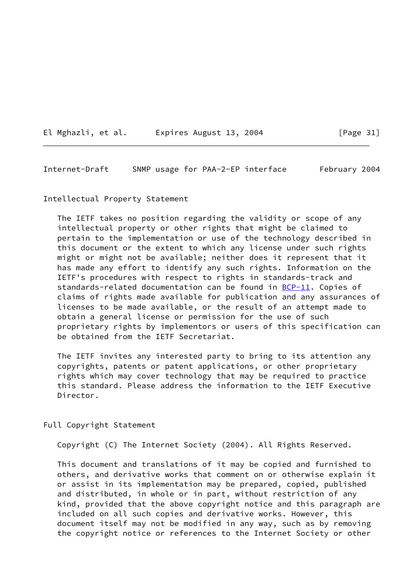<span id="page-35-0"></span>Internet-Draft SNMP usage for PAA-2-EP interface February 2004

Intellectual Property Statement

 The IETF takes no position regarding the validity or scope of any intellectual property or other rights that might be claimed to pertain to the implementation or use of the technology described in this document or the extent to which any license under such rights might or might not be available; neither does it represent that it has made any effort to identify any such rights. Information on the IETF's procedures with respect to rights in standards-track and standards-related documentation can be found in [BCP-11](https://datatracker.ietf.org/doc/pdf/bcp11). Copies of claims of rights made available for publication and any assurances of licenses to be made available, or the result of an attempt made to obtain a general license or permission for the use of such proprietary rights by implementors or users of this specification can be obtained from the IETF Secretariat.

 The IETF invites any interested party to bring to its attention any copyrights, patents or patent applications, or other proprietary rights which may cover technology that may be required to practice this standard. Please address the information to the IETF Executive Director.

Full Copyright Statement

Copyright (C) The Internet Society (2004). All Rights Reserved.

 This document and translations of it may be copied and furnished to others, and derivative works that comment on or otherwise explain it or assist in its implementation may be prepared, copied, published and distributed, in whole or in part, without restriction of any kind, provided that the above copyright notice and this paragraph are included on all such copies and derivative works. However, this document itself may not be modified in any way, such as by removing the copyright notice or references to the Internet Society or other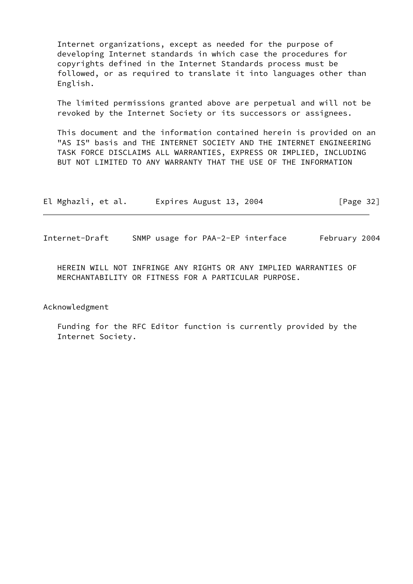Internet organizations, except as needed for the purpose of developing Internet standards in which case the procedures for copyrights defined in the Internet Standards process must be followed, or as required to translate it into languages other than English.

 The limited permissions granted above are perpetual and will not be revoked by the Internet Society or its successors or assignees.

 This document and the information contained herein is provided on an "AS IS" basis and THE INTERNET SOCIETY AND THE INTERNET ENGINEERING TASK FORCE DISCLAIMS ALL WARRANTIES, EXPRESS OR IMPLIED, INCLUDING BUT NOT LIMITED TO ANY WARRANTY THAT THE USE OF THE INFORMATION

| El Mghazli, et al. | Expires August 13, 2004 | [Page 32] |
|--------------------|-------------------------|-----------|
|                    |                         |           |

Internet-Draft SNMP usage for PAA-2-EP interface February 2004

 HEREIN WILL NOT INFRINGE ANY RIGHTS OR ANY IMPLIED WARRANTIES OF MERCHANTABILITY OR FITNESS FOR A PARTICULAR PURPOSE.

## Acknowledgment

 Funding for the RFC Editor function is currently provided by the Internet Society.